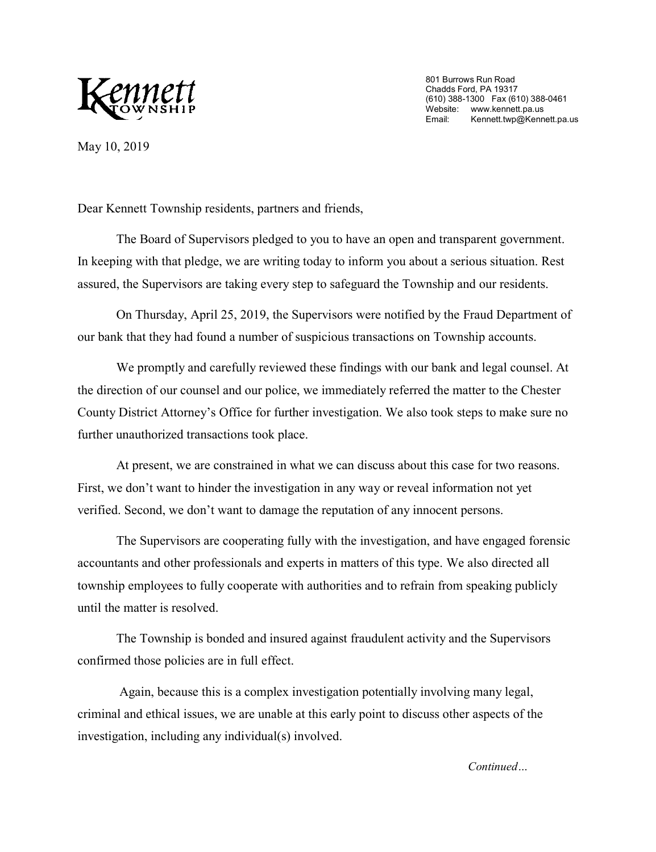

801 Burrows Run Road Chadds Ford, PA 19317 (610) 388-1300 Fax (610) 388-0461 Website: www.kennett.pa.us<br>Email: Kennett.twp@Kenn Kennett.twp@Kennett.pa.us

May 10, 2019

Dear Kennett Township residents, partners and friends,

The Board of Supervisors pledged to you to have an open a[nd transparent government.](http://www.kennett.pa.us/)  In keeping with that pledge, we are writing today to inform you ab[out a serious situation. Rest](http://www.kennett.pa.us/)  assured, the Supervisors are taking every step to safeguard the To[wnship and our residents.](http://www.kennett.pa.us/)

On Thursday, April 25, 2019, the Supervisors were notifie[d by the Fraud Department of](http://www.kennett.pa.us/)  our bank that they had found a number of suspicious transactions [on Township accounts.](http://www.kennett.pa.us/)

We promptly and carefully reviewed these findings with o[ur bank and legal counsel. At](http://www.kennett.pa.us/)  the direction of our counsel and our police, we immediately referred the matter [to the Chester](http://www.kennett.pa.us/)  County District Attorney's Office for further investigation. We also took [steps to make sure no](http://www.kennett.pa.us/)  further unauthorized transactions took place.

At present, we are constrained in what we can discuss about this case for two reasons. First, we don't want to hinder the investigation in any way or reveal information not yet verified. Second, we don't want to damage the reputation of any in[nocent persons.](mailto:Kennett.twp@Kennett.pa.us) 

The Supervisors are cooperating fully with the investigation, [and have engaged forensic](mailto:Kennett.twp@Kennett.pa.us)  accountants and other professionals and experts in matters of this t[ype. We also directed](mailto:Kennett.twp@Kennett.pa.us) all township employees to fully cooperate with authorities and to refr[ain from speaking publicly](mailto:Kennett.twp@Kennett.pa.us)  until the matter is resolved.

The Township is bonded and insured against fraudulent act[ivity and the Supervisors](mailto:Kennett.twp@Kennett.pa.us)  confirmed those policies are in full effect.

Again, because this is a complex investigation potentially involving [many legal,](mailto:Kennett.twp@Kennett.pa.us)  criminal and ethical issues, we are unable at this early point to discuss other [aspects of the](mailto:Kennett.twp@Kennett.pa.us)  investigation, including any individual(s) involved.

*[Continued…](mailto:Kennett.twp@Kennett.pa.us)*